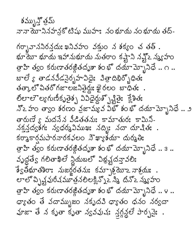## $\frac{1}{2}$ మ్మ్మ్ త్రమ్ నానాయానినహన్రకోటిషు ముహు: నంభూయ నంభూయ తద్-